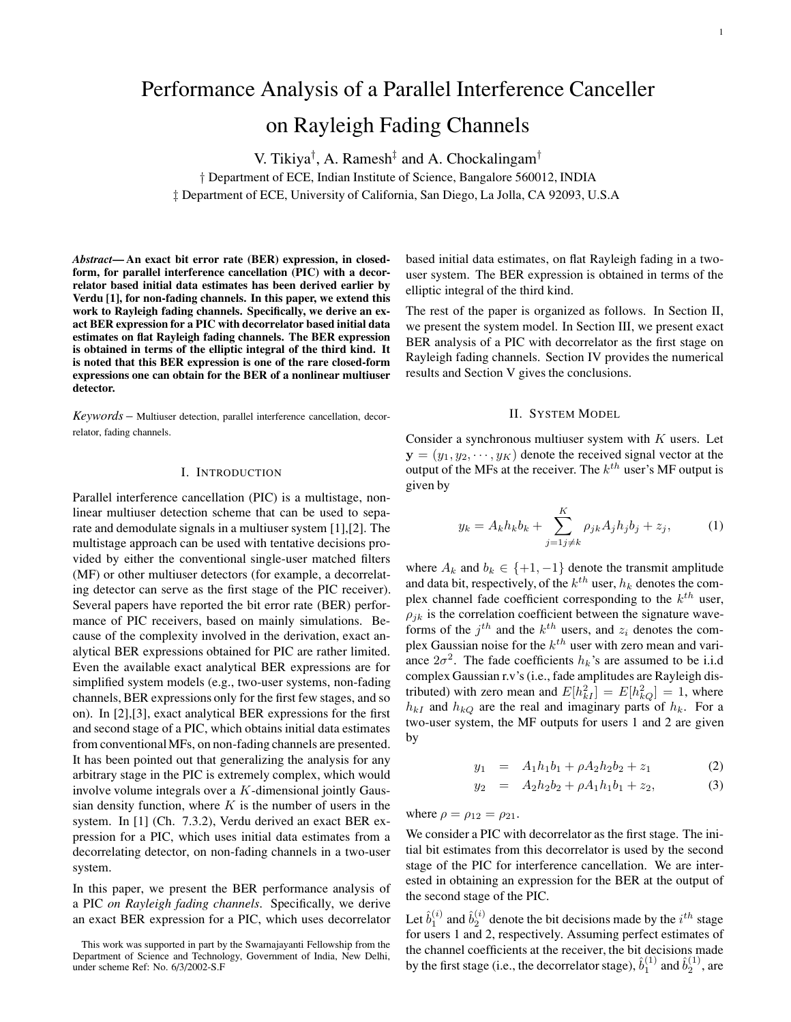# Performance Analysis of a Parallel Interference Canceller on Rayleigh Fading Channels

V. Tikiya† , A. Ramesh‡ and A. Chockalingam†

† Department of ECE, Indian Institute of Science, Bangalore 560012, INDIA ‡ Department of ECE, University of California, San Diego, La Jolla, CA 92093, U.S.A

*Abstract***— An exact bit error rate (BER) expression, in closedform, for parallel interference cancellation (PIC) with a decorrelator based initial data estimates has been derived earlier by Verdu [1], for non-fading channels. In this paper, we extend this work to Rayleigh fading channels. Specifically, we derive an exact BER expression for a PIC with decorrelator based initial data estimates on flat Rayleigh fading channels. The BER expression is obtained in terms of the elliptic integral of the third kind. It is noted that this BER expression is one of the rare closed-form expressions one can obtain for the BER of a nonlinear multiuser detector.**

*Keywords* – Multiuser detection, parallel interference cancellation, decorrelator, fading channels.

#### I. INTRODUCTION

Parallel interference cancellation (PIC) is a multistage, nonlinear multiuser detection scheme that can be used to separate and demodulate signals in a multiuser system [1],[2]. The multistage approach can be used with tentative decisions provided by either the conventional single-user matched filters (MF) or other multiuser detectors (for example, a decorrelating detector can serve as the first stage of the PIC receiver). Several papers have reported the bit error rate (BER) performance of PIC receivers, based on mainly simulations. Because of the complexity involved in the derivation, exact analytical BER expressions obtained for PIC are rather limited. Even the available exact analytical BER expressions are for simplified system models (e.g., two-user systems, non-fading channels, BER expressions only for the first few stages, and so on). In [2],[3], exact analytical BER expressions for the first and second stage of a PIC, which obtains initial data estimates from conventionalMFs, on non-fading channels are presented. It has been pointed out that generalizing the analysis for any arbitrary stage in the PIC is extremely complex, which would involve volume integrals over a K-dimensional jointly Gaussian density function, where  $K$  is the number of users in the system. In [1] (Ch. 7.3.2), Verdu derived an exact BER expression for a PIC, which uses initial data estimates from a decorrelating detector, on non-fading channels in a two-user system.

In this paper, we present the BER performance analysis of a PIC *on Rayleigh fading channels*. Specifically, we derive an exact BER expression for a PIC, which uses decorrelator

based initial data estimates, on flat Rayleigh fading in a twouser system. The BER expression is obtained in terms of the elliptic integral of the third kind.

The rest of the paper is organized as follows. In Section II, we present the system model. In Section III, we present exact BER analysis of a PIC with decorrelator as the first stage on Rayleigh fading channels. Section IV provides the numerical results and Section V gives the conclusions.

## II. SYSTEM MODEL

Consider a synchronous multiuser system with  $K$  users. Let  **denote the received signal vector at the** output of the MFs at the receiver. The  $k^{th}$  user's MF output is given by

$$
y_k = A_k h_k b_k + \sum_{j=1}^{K} \rho_{jk} A_j h_j b_j + z_j,
$$
 (1)

where  $A_k$  and  $b_k \in \{+1, -1\}$  denote the transmit amplitude and data bit, respectively, of the  $k^{th}$  user,  $h_k$  denotes the complex channel fade coefficient corresponding to the  $k^{th}$  user,  $\rho_{ik}$  is the correlation coefficient between the signature waveforms of the  $j^{th}$  and the  $k^{th}$  users, and  $z_i$  denotes the complex Gaussian noise for the  $k^{th}$  user with zero mean and variance  $2\sigma^2$ . The fade coefficients  $h_k$ 's are assumed to be i.i.d complex Gaussian r.v's (i.e., fade amplitudes are Rayleigh distributed) with zero mean and  $E[h_{kI}^2] = E[h_{kQ}^2] = 1$ , where  $h_{kI}$  and  $h_{kQ}$  are the real and imaginary parts of  $h_k$ . For a two-user system, the MF outputs for users 1 and 2 are given by

$$
y_1 = A_1 h_1 b_1 + \rho A_2 h_2 b_2 + z_1 \tag{2}
$$

$$
y_2 = A_2 h_2 b_2 + \rho A_1 h_1 b_1 + z_2, \tag{3}
$$

where  $\rho = \rho_{12} = \rho_{21}$ .

We consider a PIC with decorrelator as the first stage. The initial bit estimates from this decorrelator is used by the second stage of the PIC for interference cancellation. We are interested in obtaining an expression for the BER at the output of the second stage of the PIC.

Let  $\hat{b}_1^{(i)}$  and  $\hat{b}_2^{(i)}$  denote the bit decisions made by the  $i^{th}$  stage for users 1 and 2, respectively. Assuming perfect estimates of the channel coefficients at the receiver, the bit decisions made by the first stage (i.e., the decorrelator stage),  $\hat{b}_1^{(1)}$  and  $\hat{b}_2^{(1)}$ , are

This work was supported in part by the Swarnajayanti Fellowship from the Department of Science and Technology, Government of India, New Delhi, under scheme Ref: No. 6/3/2002-S.F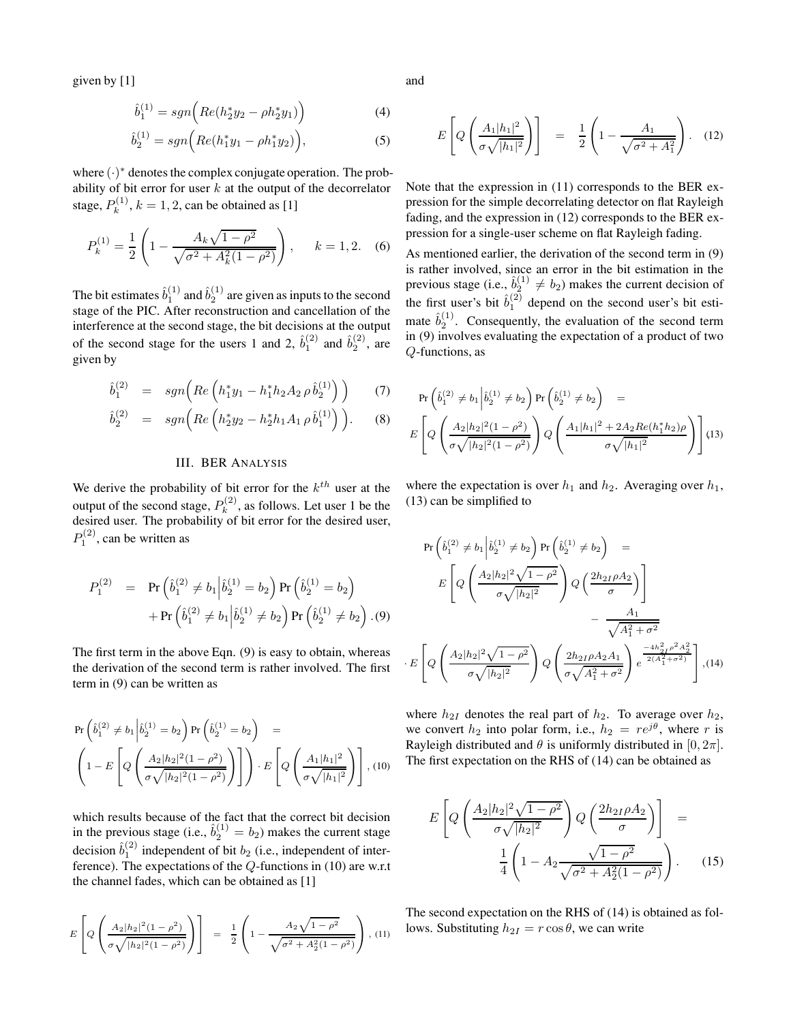given by [1]

$$
\hat{b}_1^{(1)} = sgn\left(Re(h_2^*y_2 - \rho h_2^*y_1)\right) \tag{4}
$$

$$
\hat{b}_2^{(1)} = sgn\Big(Re(h_1^*y_1 - \rho h_1^*y_2)\Big),\tag{5}
$$

where  $(\cdot)^*$  denotes the complex conjugate operation. The probability of bit error for user  $k$  at the output of the decorrelator stage,  $P_k^{(1)}$ ,  $k = 1, 2$ , can be obtained as [1]

$$
P_k^{(1)} = \frac{1}{2} \left( 1 - \frac{A_k \sqrt{1 - \rho^2}}{\sqrt{\sigma^2 + A_k^2 (1 - \rho^2)}} \right), \quad k = 1, 2. \quad (6)
$$

The bit estimates  $\hat{b}_1^{(1)}$  and  $\hat{b}_2^{(1)}$  are given as inputs to the second stage of the PIC. After reconstruction and cancellation of the interference at the second stage, the bit decisions at the output of the second stage for the users 1 and 2,  $\hat{b}_1^{(2)}$  and  $\hat{b}_2^{(2)}$ , are given by

$$
\hat{b}_1^{(2)} = sgn\Big(Re\left(h_1^*y_1 - h_1^*h_2A_2\rho \hat{b}_2^{(1)}\right)\Big) \qquad (7)
$$

$$
\hat{b}_2^{(2)} = sgn\Big(Re\left(h_2^*y_2 - h_2^*h_1A_1 \rho \hat{b}_1^{(1)}\right)\Big). \tag{8}
$$

# III. BER ANALYSIS

We derive the probability of bit error for the  $k<sup>th</sup>$  user at the output of the second stage,  $P_k^{(2)}$ , as follows. Let user 1 be the desired user. The probability of bit error for the desired user,  $P_1^{(2)}$ , can be written as

$$
P_1^{(2)} = \Pr\left(\hat{b}_1^{(2)} \neq b_1 \middle| \hat{b}_2^{(1)} = b_2\right) \Pr\left(\hat{b}_2^{(1)} = b_2\right) + \Pr\left(\hat{b}_1^{(2)} \neq b_1 \middle| \hat{b}_2^{(1)} \neq b_2\right) \Pr\left(\hat{b}_2^{(1)} \neq b_2\right). (9)
$$

The first term in the above Eqn. (9) is easy to obtain, whereas the derivation of the second term is rather involved. The first term in (9) can be written as

$$
\Pr\left(\hat{b}_1^{(2)} \neq b_1 \middle| \hat{b}_2^{(1)} = b_2\right) \Pr\left(\hat{b}_2^{(1)} = b_2\right) = \left(1 - E\left[Q\left(\frac{A_2|h_2|^2(1-\rho^2)}{\sigma\sqrt{|h_2|^2(1-\rho^2)}}\right)\right]\right) \cdot E\left[Q\left(\frac{A_1|h_1|^2}{\sigma\sqrt{|h_1|^2}}\right)\right], (10)
$$

which results because of the fact that the correct bit decision in the previous stage (i.e.,  $\hat{b}_2^{(1)} = b_2$ ) makes the current stage decision  $\hat{b}_1^{(2)}$  independent of bit  $b_2$  (i.e., independent of interference). The expectations of the Q-functions in (10) are w.r.t the channel fades, which can be obtained as [1]

$$
E\left[Q\left(\frac{A_2|h_2|^2(1-\rho^2)}{\sigma\sqrt{|h_2|^2(1-\rho^2)}}\right)\right] = \frac{1}{2}\left(1-\frac{A_2\sqrt{1-\rho^2}}{\sqrt{\sigma^2+A_2^2(1-\rho^2)}}\right), (11)
$$

and

$$
E\left[Q\left(\frac{A_1|h_1|^2}{\sigma\sqrt{|h_1|^2}}\right)\right] = \frac{1}{2}\left(1 - \frac{A_1}{\sqrt{\sigma^2 + A_1^2}}\right). (12)
$$

Note that the expression in (11) corresponds to the BER expression for the simple decorrelating detector on flat Rayleigh fading, and the expression in (12) corresponds to the BER expression for a single-user scheme on flat Rayleigh fading.

As mentioned earlier, the derivation of the second term in (9) is rather involved, since an error in the bit estimation in the previous stage (i.e.,  $\hat{b}_2^{(1)} \neq b_2$ ) makes the current decision of the first user's bit  $\hat{b}_1^{(2)}$  depend on the second user's bit estimate  $\hat{b}_2^{(1)}$ . Consequently, the evaluation of the second term in (9) involves evaluating the expectation of a product of two Q-functions, as

$$
\Pr\left(\hat{b}_1^{(2)} \neq b_1 \middle| \hat{b}_2^{(1)} \neq b_2\right) \Pr\left(\hat{b}_2^{(1)} \neq b_2\right) =
$$
\n
$$
E\left[Q\left(\frac{A_2|h_2|^2(1-\rho^2)}{\sigma\sqrt{|h_2|^2(1-\rho^2)}}\right) Q\left(\frac{A_1|h_1|^2 + 2A_2Re(h_1^*h_2)\rho}{\sigma\sqrt{|h_1|^2}}\right)\right] (13)
$$

where the expectation is over  $h_1$  and  $h_2$ . Averaging over  $h_1$ , (13) can be simplified to

$$
\Pr\left(\hat{b}_1^{(2)} \neq b_1 \middle| \hat{b}_2^{(1)} \neq b_2\right) \Pr\left(\hat{b}_2^{(1)} \neq b_2\right) =
$$
\n
$$
E\left[Q\left(\frac{A_2|h_2|^2\sqrt{1-\rho^2}}{\sigma\sqrt{|h_2|^2}}\right)Q\left(\frac{2h_{2I}\rho A_2}{\sigma}\right)\right] - \frac{A_1}{\sqrt{A_1^2 + \sigma^2}}
$$
\n
$$
\cdot E\left[Q\left(\frac{A_2|h_2|^2\sqrt{1-\rho^2}}{\sigma\sqrt{|h_2|^2}}\right)Q\left(\frac{2h_{2I}\rho A_2 A_1}{\sigma\sqrt{A_1^2 + \sigma^2}}\right)e^{\frac{-4h_{2I}^2\rho^2 A_2^2}{2(A_1^2 + \sigma^2)}}\right], (14)
$$

where  $h_{2I}$  denotes the real part of  $h_2$ . To average over  $h_2$ , we convert  $h_2$  into polar form, i.e.,  $h_2 = re^{j\theta}$ , where r is Rayleigh distributed and  $\theta$  is uniformly distributed in [0,  $2\pi$ ]. The first expectation on the RHS of (14) can be obtained as

$$
E\left[Q\left(\frac{A_2|h_2|^2\sqrt{1-\rho^2}}{\sigma\sqrt{|h_2|^2}}\right)Q\left(\frac{2h_{2I}\rho A_2}{\sigma}\right)\right] = \frac{1}{4}\left(1 - A_2\frac{\sqrt{1-\rho^2}}{\sqrt{\sigma^2 + A_2^2(1-\rho^2)}}\right). \quad (15)
$$

The second expectation on the RHS of (14) is obtained as follows. Substituting  $h_{2I} = r \cos \theta$ , we can write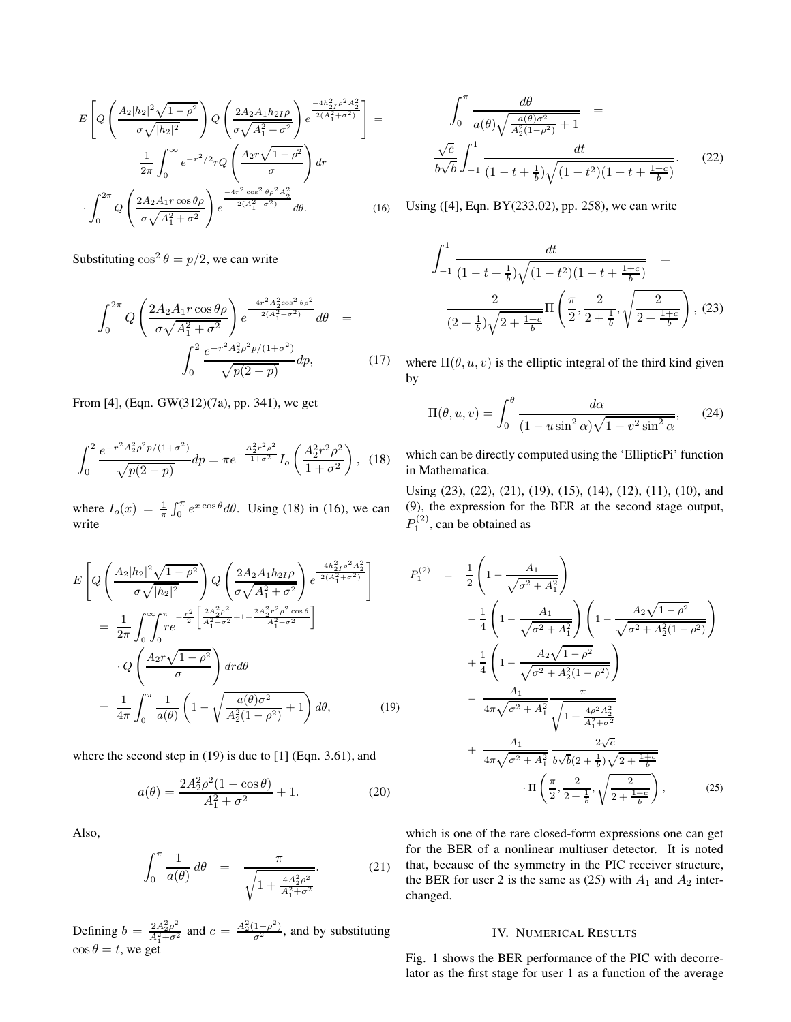$$
E\left[Q\left(\frac{A_2|h_2|^2\sqrt{1-\rho^2}}{\sigma\sqrt{|h_2|^2}}\right)Q\left(\frac{2A_2A_1h_{2I}\rho}{\sigma\sqrt{A_1^2+\sigma^2}}\right)e^{\frac{-4h_{2I}^2\rho^2A_2^2}{2(A_1^2+\sigma^2)}}\right] = \frac{1}{2\pi}\int_0^\infty e^{-r^2/2}rQ\left(\frac{A_2r\sqrt{1-\rho^2}}{\sigma}\right)dr
$$

$$
\int_0^{2\pi}Q\left(\frac{2A_2A_1r\cos\theta\rho}{\sigma\sqrt{A_1^2+\sigma^2}}\right)e^{\frac{-4r^2\cos^2\theta\rho^2A_2^2}{2(A_1^2+\sigma^2)}}d\theta. \tag{16}
$$

Substituting  $\cos^2 \theta = p/2$ , we can write

$$
\int_0^{2\pi} Q\left(\frac{2A_2A_1r\cos\theta\rho}{\sigma\sqrt{A_1^2 + \sigma^2}}\right) e^{\frac{-4r^2A_2^2\cos^2\theta\rho^2}{2(A_1^2 + \sigma^2)}} d\theta = \int_0^2 \frac{e^{-r^2A_2^2\rho^2p/(1+\sigma^2)}}{\sqrt{p(2-p)}} dp, \tag{17}
$$

From [4], (Eqn. GW(312)(7a), pp. 341), we get

$$
\int_0^2 \frac{e^{-r^2 A_2^2 \rho^2 p/(1+\sigma^2)}}{\sqrt{p(2-p)}} dp = \pi e^{-\frac{A_2^2 r^2 \rho^2}{1+\sigma^2}} I_o\left(\frac{A_2^2 r^2 \rho^2}{1+\sigma^2}\right), \tag{18}
$$

where  $I_o(x) = \frac{1}{\pi} \int_0^{\pi} e^{x \cos \theta} d\theta$ . Using (18) in (16), we can write

$$
E\left[Q\left(\frac{A_{2}|h_{2}|^{2}\sqrt{1-\rho^{2}}}{\sigma\sqrt{|h_{2}|^{2}}}\right)Q\left(\frac{2A_{2}A_{1}h_{2I}\rho}{\sigma\sqrt{A_{1}^{2}+\sigma^{2}}}\right)e^{\frac{-4h_{2I}^{2}\rho^{2}A_{2}^{2}}{2(A_{1}^{2}+\sigma^{2})}}\right]
$$

$$
=\frac{1}{2\pi}\int_{0}^{\infty}\int_{0}^{\pi}re^{-\frac{r^{2}}{2}\left[\frac{2A_{2}^{2}\rho^{2}}{A_{1}^{2}+\sigma^{2}}+1-\frac{2A_{2}^{2}r^{2}\rho^{2}\cos\theta}{A_{1}^{2}+\sigma^{2}}\right]} d\sigma d\theta
$$

$$
=\frac{1}{4\pi}\int_{0}^{\pi}\frac{1}{a(\theta)}\left(1-\sqrt{\frac{a(\theta)\sigma^{2}}{A_{2}^{2}(1-\rho^{2})}+1}\right)d\theta, \qquad (19)
$$

where the second step in (19) is due to [1] (Eqn. 3.61), and

$$
a(\theta) = \frac{2A_2^2 \rho^2 (1 - \cos \theta)}{A_1^2 + \sigma^2} + 1.
$$
 (20)

Also,

$$
\int_0^{\pi} \frac{1}{a(\theta)} d\theta = \frac{\pi}{\sqrt{1 + \frac{4A_2^2 \rho^2}{A_1^2 + \sigma^2}}}.
$$
 (21)

Defining  $b = \frac{2A_2^2 \rho^2}{A_1^2 + \sigma^2}$  and  $c = \frac{A_2^2 (1 - \rho^2)}{\sigma^2}$ , and by substituting  $\cos \theta = t$ , we get

$$
\int_0^{\pi} \frac{d\theta}{a(\theta)\sqrt{\frac{a(\theta)\sigma^2}{A_2^2(1-\rho^2)}+1}} = \frac{\sqrt{c}}{b\sqrt{b}} \int_{-1}^1 \frac{dt}{(1-t+\frac{1}{b})\sqrt{(1-t^2)(1-t+\frac{1+c}{b})}}.
$$
(22)

Using ([4], Eqn. BY(233.02), pp. 258), we can write

$$
\int_{-1}^{1} \frac{dt}{(1 - t + \frac{1}{b})\sqrt{(1 - t^2)(1 - t + \frac{1+c}{b})}} =
$$

$$
\frac{2}{(2 + \frac{1}{b})\sqrt{2 + \frac{1+c}{b}}} \Pi\left(\frac{\pi}{2}, \frac{2}{2 + \frac{1}{b}}, \sqrt{\frac{2}{2 + \frac{1+c}{b}}}\right), (23)
$$

where  $\Pi(\theta, u, v)$  is the elliptic integral of the third kind given by

$$
\Pi(\theta, u, v) = \int_0^\theta \frac{d\alpha}{(1 - u\sin^2\alpha)\sqrt{1 - v^2\sin^2\alpha}},\qquad(24)
$$

which can be directly computed using the 'EllipticPi' function in Mathematica.

Using (23), (22), (21), (19), (15), (14), (12), (11), (10), and (9), the expression for the BER at the second stage output,  $P_1^{(2)}$ , can be obtained as

$$
P_1^{(2)} = \frac{1}{2} \left( 1 - \frac{A_1}{\sqrt{\sigma^2 + A_1^2}} \right)
$$
  
\n
$$
- \frac{1}{4} \left( 1 - \frac{A_1}{\sqrt{\sigma^2 + A_1^2}} \right) \left( 1 - \frac{A_2 \sqrt{1 - \rho^2}}{\sqrt{\sigma^2 + A_2^2 (1 - \rho^2)}} \right)
$$
  
\n
$$
+ \frac{1}{4} \left( 1 - \frac{A_2 \sqrt{1 - \rho^2}}{\sqrt{\sigma^2 + A_2^2 (1 - \rho^2)}} \right)
$$
  
\n
$$
- \frac{A_1}{4\pi \sqrt{\sigma^2 + A_1^2}} \frac{\pi}{\sqrt{1 + \frac{4\rho^2 A_2^2}{A_1^2 + \sigma^2}}}
$$
  
\n
$$
+ \frac{A_1}{4\pi \sqrt{\sigma^2 + A_1^2}} \frac{2\sqrt{c}}{b\sqrt{b}(2 + \frac{1}{b})\sqrt{2 + \frac{1+c}{b}}}
$$
  
\n
$$
\cdot \Pi \left( \frac{\pi}{2}, \frac{2}{2 + \frac{1}{b}}, \sqrt{\frac{2}{2 + \frac{1+c}{b}}} \right), \qquad (25)
$$

which is one of the rare closed-form expressions one can get for the BER of a nonlinear multiuser detector. It is noted that, because of the symmetry in the PIC receiver structure, the BER for user 2 is the same as (25) with  $A_1$  and  $A_2$  interchanged.

#### IV. NUMERICAL RESULTS

Fig. 1 shows the BER performance of the PIC with decorrelator as the first stage for user 1 as a function of the average